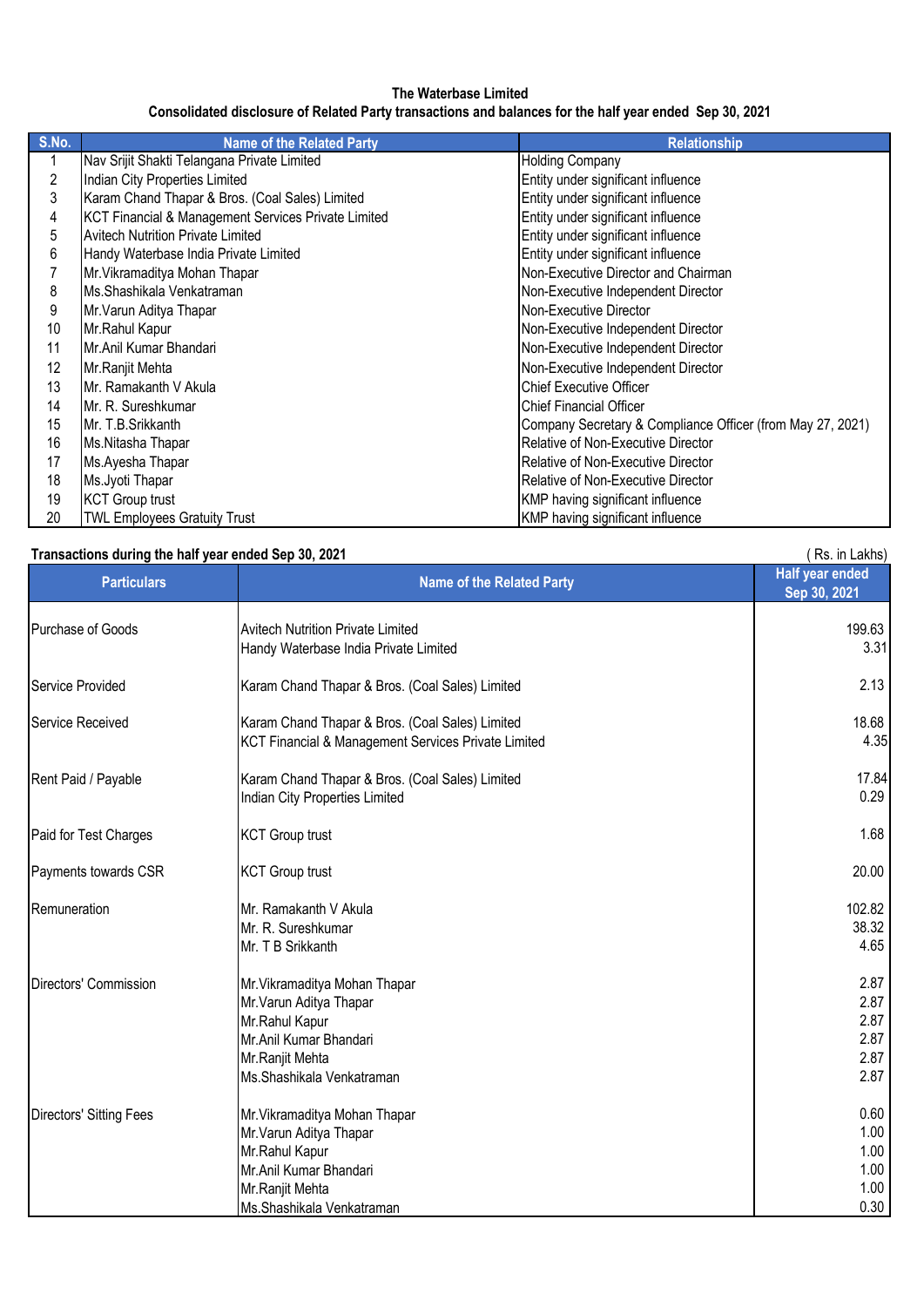### **The Waterbase Limited**

# **Consolidated disclosure of Related Party transactions and balances for the half year ended Sep 30, 2021**

| S.No. | <b>Name of the Related Party</b>                    | <b>Relationship</b>                                        |
|-------|-----------------------------------------------------|------------------------------------------------------------|
| 1     | Nav Srijit Shakti Telangana Private Limited         | <b>Holding Company</b>                                     |
| 2     | Indian City Properties Limited                      | Entity under significant influence                         |
| 3     | Karam Chand Thapar & Bros. (Coal Sales) Limited     | Entity under significant influence                         |
| 4     | KCT Financial & Management Services Private Limited | Entity under significant influence                         |
| 5     | <b>Avitech Nutrition Private Limited</b>            | Entity under significant influence                         |
| 6     | Handy Waterbase India Private Limited               | Entity under significant influence                         |
|       | Mr. Vikramaditya Mohan Thapar                       | Non-Executive Director and Chairman                        |
| 8     | Ms.Shashikala Venkatraman                           | Non-Executive Independent Director                         |
| 9     | Mr. Varun Aditya Thapar                             | Non-Executive Director                                     |
| 10    | Mr.Rahul Kapur                                      | Non-Executive Independent Director                         |
| 11    | Mr.Anil Kumar Bhandari                              | Non-Executive Independent Director                         |
| 12    | Mr.Ranjit Mehta                                     | Non-Executive Independent Director                         |
| 13    | Mr. Ramakanth V Akula                               | <b>Chief Executive Officer</b>                             |
| 14    | Mr. R. Sureshkumar                                  | Chief Financial Officer                                    |
| 15    | Mr. T.B.Srikkanth                                   | Company Secretary & Compliance Officer (from May 27, 2021) |
| 16    | Ms.Nitasha Thapar                                   | Relative of Non-Executive Director                         |
| 17    | Ms.Ayesha Thapar                                    | Relative of Non-Executive Director                         |
| 18    | Ms.Jyoti Thapar                                     | Relative of Non-Executive Director                         |
| 19    | <b>KCT Group trust</b>                              | KMP having significant influence                           |
| 20    | <b>TWL Employees Gratuity Trust</b>                 | KMP having significant influence                           |

| Transactions during the half year ended Sep 30, 2021 |                                                                                                                                                      | Rs. in Lakhs)                                |
|------------------------------------------------------|------------------------------------------------------------------------------------------------------------------------------------------------------|----------------------------------------------|
| <b>Particulars</b>                                   | <b>Name of the Related Party</b>                                                                                                                     | <b>Half year ended</b><br>Sep 30, 2021       |
| Purchase of Goods                                    | <b>Avitech Nutrition Private Limited</b><br>Handy Waterbase India Private Limited                                                                    | 199.63<br>3.31                               |
| Service Provided                                     | Karam Chand Thapar & Bros. (Coal Sales) Limited                                                                                                      | 2.13                                         |
| <b>Service Received</b>                              | Karam Chand Thapar & Bros. (Coal Sales) Limited<br>KCT Financial & Management Services Private Limited                                               | 18.68<br>4.35                                |
| Rent Paid / Payable                                  | Karam Chand Thapar & Bros. (Coal Sales) Limited<br>Indian City Properties Limited                                                                    | 17.84<br>0.29                                |
| Paid for Test Charges                                | <b>KCT Group trust</b>                                                                                                                               | 1.68                                         |
| Payments towards CSR                                 | <b>KCT Group trust</b>                                                                                                                               | 20.00                                        |
| Remuneration                                         | Mr. Ramakanth V Akula<br>Mr. R. Sureshkumar<br>Mr. T B Srikkanth                                                                                     | 102.82<br>38.32<br>4.65                      |
| Directors' Commission                                | Mr. Vikramaditya Mohan Thapar<br>Mr. Varun Aditya Thapar<br>Mr.Rahul Kapur<br>Mr.Anil Kumar Bhandari<br>Mr.Ranjit Mehta<br>Ms.Shashikala Venkatraman | 2.87<br>2.87<br>2.87<br>2.87<br>2.87<br>2.87 |
| <b>Directors' Sitting Fees</b>                       | Mr. Vikramaditya Mohan Thapar<br>Mr. Varun Aditya Thapar<br>Mr.Rahul Kapur<br>Mr.Anil Kumar Bhandari<br>Mr.Ranjit Mehta<br>Ms.Shashikala Venkatraman | 0.60<br>1.00<br>1.00<br>1.00<br>1.00<br>0.30 |